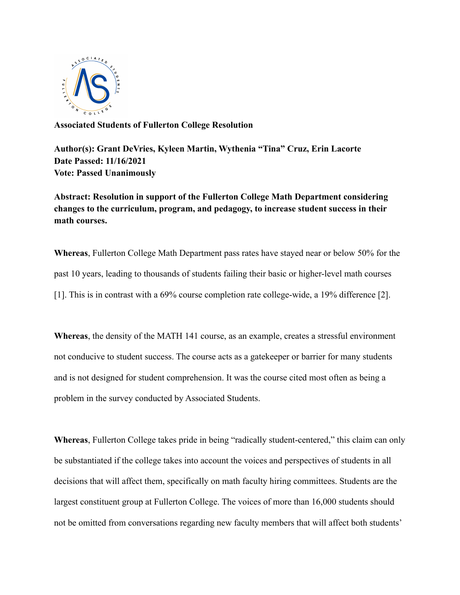

**Associated Students of Fullerton College Resolution**

**Author(s): Grant DeVries, Kyleen Martin, Wythenia "Tina" Cruz, Erin Lacorte Date Passed: 11/16/2021 Vote: Passed Unanimously**

**Abstract: Resolution in support of the Fullerton College Math Department considering changes to the curriculum, program, and pedagogy, to increase student success in their math courses.**

**Whereas**, Fullerton College Math Department pass rates have stayed near or below 50% for the past 10 years, leading to thousands of students failing their basic or higher-level math courses [1]. This is in contrast with a 69% course completion rate college-wide, a 19% difference [2].

**Whereas**, the density of the MATH 141 course, as an example, creates a stressful environment not conducive to student success. The course acts as a gatekeeper or barrier for many students and is not designed for student comprehension. It was the course cited most often as being a problem in the survey conducted by Associated Students.

**Whereas**, Fullerton College takes pride in being "radically student-centered," this claim can only be substantiated if the college takes into account the voices and perspectives of students in all decisions that will affect them, specifically on math faculty hiring committees. Students are the largest constituent group at Fullerton College. The voices of more than 16,000 students should not be omitted from conversations regarding new faculty members that will affect both students'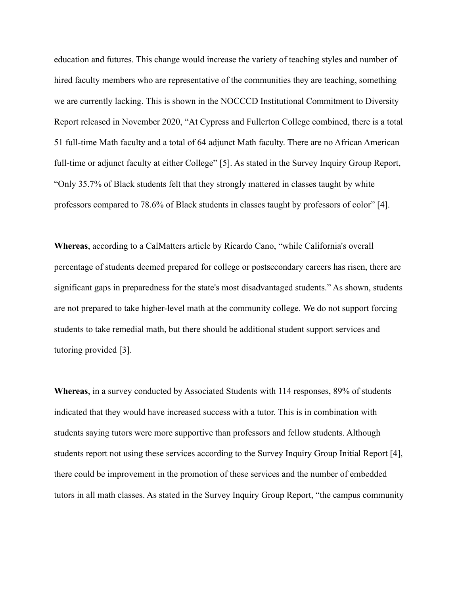education and futures. This change would increase the variety of teaching styles and number of hired faculty members who are representative of the communities they are teaching, something we are currently lacking. This is shown in the NOCCCD Institutional Commitment to Diversity Report released in November 2020, "At Cypress and Fullerton College combined, there is a total 51 full-time Math faculty and a total of 64 adjunct Math faculty. There are no African American full-time or adjunct faculty at either College" [5]. As stated in the Survey Inquiry Group Report, "Only 35.7% of Black students felt that they strongly mattered in classes taught by white professors compared to 78.6% of Black students in classes taught by professors of color" [4].

**Whereas**, according to a CalMatters article by Ricardo Cano, "while California's overall percentage of students deemed prepared for college or postsecondary careers has risen, there are significant gaps in preparedness for the state's most disadvantaged students." As shown, students are not prepared to take higher-level math at the community college. We do not support forcing students to take remedial math, but there should be additional student support services and tutoring provided [3].

**Whereas**, in a survey conducted by Associated Students with 114 responses, 89% of students indicated that they would have increased success with a tutor. This is in combination with students saying tutors were more supportive than professors and fellow students. Although students report not using these services according to the Survey Inquiry Group Initial Report [4], there could be improvement in the promotion of these services and the number of embedded tutors in all math classes. As stated in the Survey Inquiry Group Report, "the campus community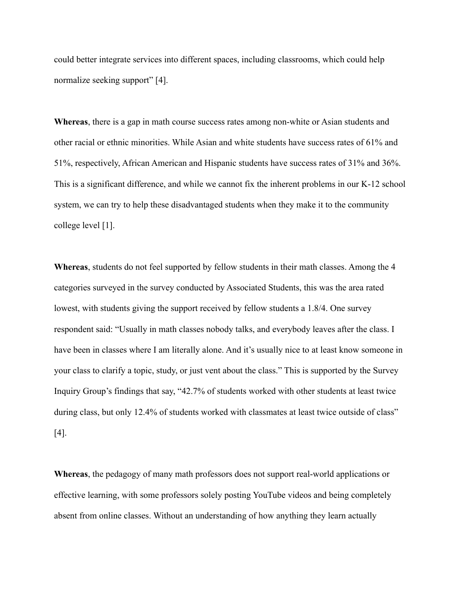could better integrate services into different spaces, including classrooms, which could help normalize seeking support" [4].

**Whereas**, there is a gap in math course success rates among non-white or Asian students and other racial or ethnic minorities. While Asian and white students have success rates of 61% and 51%, respectively, African American and Hispanic students have success rates of 31% and 36%. This is a significant difference, and while we cannot fix the inherent problems in our K-12 school system, we can try to help these disadvantaged students when they make it to the community college level [1].

**Whereas**, students do not feel supported by fellow students in their math classes. Among the 4 categories surveyed in the survey conducted by Associated Students, this was the area rated lowest, with students giving the support received by fellow students a 1.8/4. One survey respondent said: "Usually in math classes nobody talks, and everybody leaves after the class. I have been in classes where I am literally alone. And it's usually nice to at least know someone in your class to clarify a topic, study, or just vent about the class." This is supported by the Survey Inquiry Group's findings that say, "42.7% of students worked with other students at least twice during class, but only 12.4% of students worked with classmates at least twice outside of class" [4].

**Whereas**, the pedagogy of many math professors does not support real-world applications or effective learning, with some professors solely posting YouTube videos and being completely absent from online classes. Without an understanding of how anything they learn actually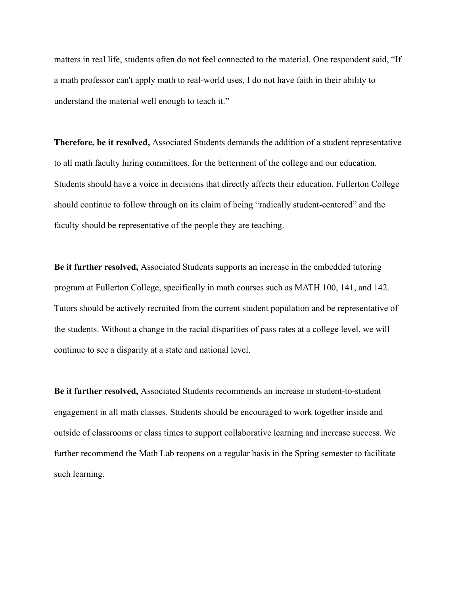matters in real life, students often do not feel connected to the material. One respondent said, "If a math professor can't apply math to real-world uses, I do not have faith in their ability to understand the material well enough to teach it."

**Therefore, be it resolved,** Associated Students demands the addition of a student representative to all math faculty hiring committees, for the betterment of the college and our education. Students should have a voice in decisions that directly affects their education. Fullerton College should continue to follow through on its claim of being "radically student-centered" and the faculty should be representative of the people they are teaching.

**Be it further resolved,** Associated Students supports an increase in the embedded tutoring program at Fullerton College, specifically in math courses such as MATH 100, 141, and 142. Tutors should be actively recruited from the current student population and be representative of the students. Without a change in the racial disparities of pass rates at a college level, we will continue to see a disparity at a state and national level.

**Be it further resolved,** Associated Students recommends an increase in student-to-student engagement in all math classes. Students should be encouraged to work together inside and outside of classrooms or class times to support collaborative learning and increase success. We further recommend the Math Lab reopens on a regular basis in the Spring semester to facilitate such learning.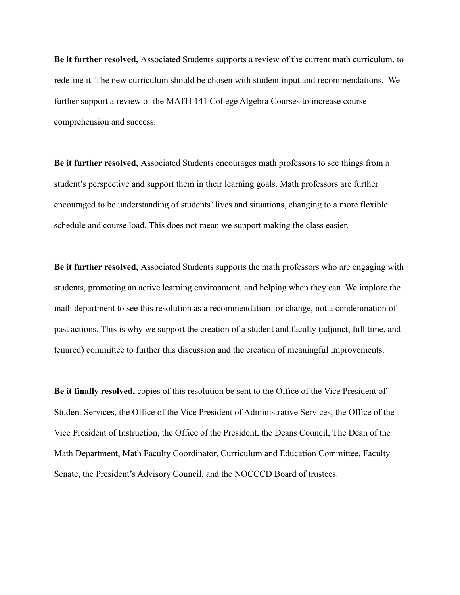**Be it further resolved,** Associated Students supports a review of the current math curriculum, to redefine it. The new curriculum should be chosen with student input and recommendations. We further support a review of the MATH 141 College Algebra Courses to increase course comprehension and success.

**Be it further resolved,** Associated Students encourages math professors to see things from a student's perspective and support them in their learning goals. Math professors are further encouraged to be understanding of students' lives and situations, changing to a more flexible schedule and course load. This does not mean we support making the class easier.

**Be it further resolved,** Associated Students supports the math professors who are engaging with students, promoting an active learning environment, and helping when they can. We implore the math department to see this resolution as a recommendation for change, not a condemnation of past actions. This is why we support the creation of a student and faculty (adjunct, full time, and tenured) committee to further this discussion and the creation of meaningful improvements.

**Be it finally resolved,** copies of this resolution be sent to the Office of the Vice President of Student Services, the Office of the Vice President of Administrative Services, the Office of the Vice President of Instruction, the Office of the President, the Deans Council, The Dean of the Math Department, Math Faculty Coordinator, Curriculum and Education Committee, Faculty Senate, the President's Advisory Council, and the NOCCCD Board of trustees.